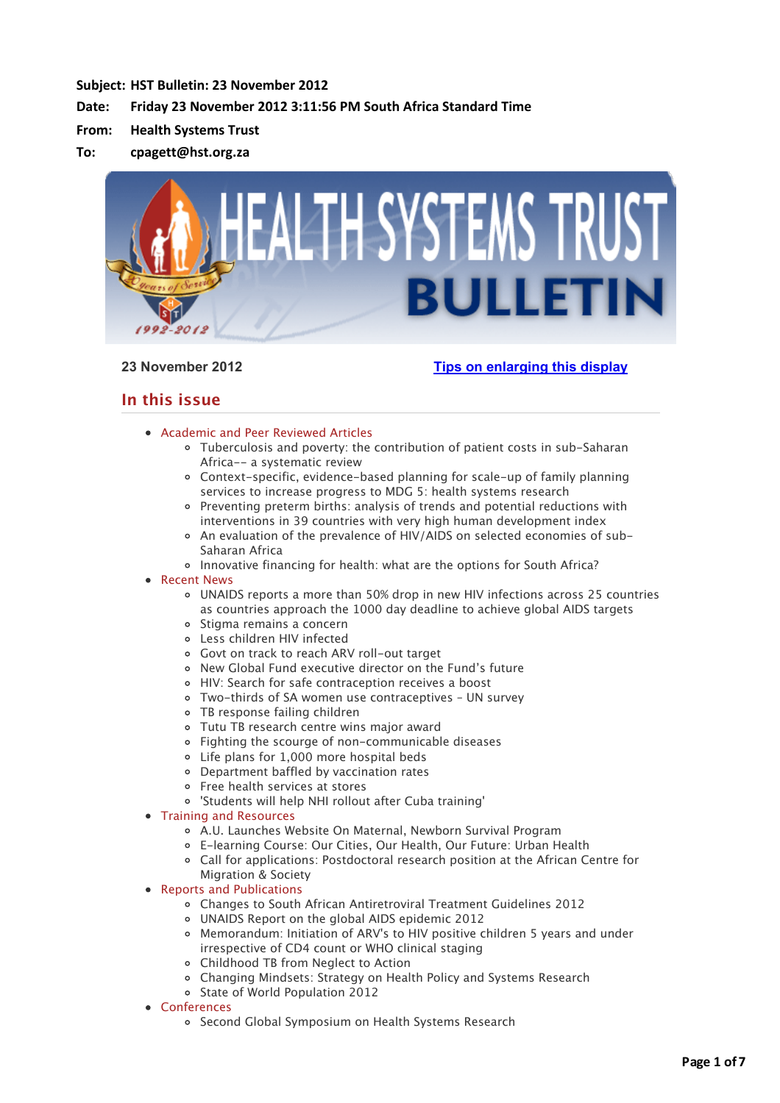# **Subject: HST Bulletin: 23 November 2012**

# Date: Friday 23 November 2012 3:11:56 PM South Africa Standard Time

- **From: Health Systems Trust**
- **To: cpagett@hst.org.za**



# **23 November 2012 [Tips on enlarging this display](http://bulletin.hst.org.za//lt.php?id=K09VDlxQXQUPSlBWCkUHC1NR)**

# **In this issue**

- [Academic and Peer Reviewed Articles](applewebdata://63EFA68A-C26C-4C38-9A1F-DC9554EA8104#Academic)
	- [Tuberculosis and poverty: the contribution of patient costs in sub-Saharan](applewebdata://63EFA68A-C26C-4C38-9A1F-DC9554EA8104#A_1) Africa-- a systematic review
	- [Context-specific, evidence-based planning for scale-up of family planning](applewebdata://63EFA68A-C26C-4C38-9A1F-DC9554EA8104#A_2) services to increase progress to MDG 5: health systems research
	- [Preventing preterm births: analysis of trends and potential reductions with](applewebdata://63EFA68A-C26C-4C38-9A1F-DC9554EA8104#A_3) interventions in 39 countries with very high human development index
	- [An evaluation of the prevalence of HIV/AIDS on selected economies of sub-](applewebdata://63EFA68A-C26C-4C38-9A1F-DC9554EA8104#A_4)Saharan Africa
	- o [Innovative financing for health: what are the options for South Africa?](applewebdata://63EFA68A-C26C-4C38-9A1F-DC9554EA8104#A_5)
- [Recent News](applewebdata://63EFA68A-C26C-4C38-9A1F-DC9554EA8104#recent)
	- [UNAIDS reports a more than 50% drop in new HIV infections across 25 countries](applewebdata://63EFA68A-C26C-4C38-9A1F-DC9554EA8104#N_1) as countries approach the 1000 day deadline to achieve global AIDS targets
	- o [Stigma remains a concern](applewebdata://63EFA68A-C26C-4C38-9A1F-DC9554EA8104#N_2)
	- [Less children HIV infected](applewebdata://63EFA68A-C26C-4C38-9A1F-DC9554EA8104#N_7)
	- [Govt on track to reach ARV roll-out target](applewebdata://63EFA68A-C26C-4C38-9A1F-DC9554EA8104#N_3)
	- [New Global Fund executive director on the Fund's future](applewebdata://63EFA68A-C26C-4C38-9A1F-DC9554EA8104#N_4)
	- [HIV: Search for safe contraception receives a boost](applewebdata://63EFA68A-C26C-4C38-9A1F-DC9554EA8104#N_5)
	- [Two-thirds of SA women use contraceptives UN survey](applewebdata://63EFA68A-C26C-4C38-9A1F-DC9554EA8104#N_6)
	- [TB response failing children](applewebdata://63EFA68A-C26C-4C38-9A1F-DC9554EA8104#N_7)
	- [Tutu TB research centre wins major award](applewebdata://63EFA68A-C26C-4C38-9A1F-DC9554EA8104#N_8)
	- [Fighting the scourge of non-communicable diseases](applewebdata://63EFA68A-C26C-4C38-9A1F-DC9554EA8104#N_9)
	- [Life plans for 1,000 more hospital beds](applewebdata://63EFA68A-C26C-4C38-9A1F-DC9554EA8104#N_10)
	- [Department baffled by vaccination rates](applewebdata://63EFA68A-C26C-4C38-9A1F-DC9554EA8104#N_11)
	- [Free health services at stores](applewebdata://63EFA68A-C26C-4C38-9A1F-DC9554EA8104#N_12)
	- ['Students will help NHI rollout after Cuba training'](applewebdata://63EFA68A-C26C-4C38-9A1F-DC9554EA8104#N_13)
- [Training and Resources](applewebdata://63EFA68A-C26C-4C38-9A1F-DC9554EA8104#train)
	- [A.U. Launches Website On Maternal, Newborn Survival Program](applewebdata://63EFA68A-C26C-4C38-9A1F-DC9554EA8104#T_1)
	- [E-learning Course: Our Cities, Our Health, Our Future: Urban Health](applewebdata://63EFA68A-C26C-4C38-9A1F-DC9554EA8104#T_2)
	- [Call for applications: Postdoctoral research position at the African Centre for](applewebdata://63EFA68A-C26C-4C38-9A1F-DC9554EA8104#T_3)
	- Migration & Society
- [Reports and Publications](applewebdata://63EFA68A-C26C-4C38-9A1F-DC9554EA8104#publications)
	- [Changes to South African Antiretroviral Treatment Guidelines 2012](applewebdata://63EFA68A-C26C-4C38-9A1F-DC9554EA8104#P_1)
	- [UNAIDS Report on the global AIDS epidemic 2012](applewebdata://63EFA68A-C26C-4C38-9A1F-DC9554EA8104#P_2)
	- [Memorandum: Initiation of ARV's to HIV positive children 5 years and under](applewebdata://63EFA68A-C26C-4C38-9A1F-DC9554EA8104#P_3) irrespective of CD4 count or WHO clinical staging
	- [Childhood TB from Neglect to Action](applewebdata://63EFA68A-C26C-4C38-9A1F-DC9554EA8104#P_4)
	- [Changing Mindsets: Strategy on Health Policy and Systems Research](applewebdata://63EFA68A-C26C-4C38-9A1F-DC9554EA8104#P_5)
	- o [State of World Population 2012](applewebdata://63EFA68A-C26C-4C38-9A1F-DC9554EA8104#P_6)
- [Conferences](applewebdata://63EFA68A-C26C-4C38-9A1F-DC9554EA8104#conferences)
	- o [Second Global Symposium on Health Systems Research](applewebdata://63EFA68A-C26C-4C38-9A1F-DC9554EA8104#C_1)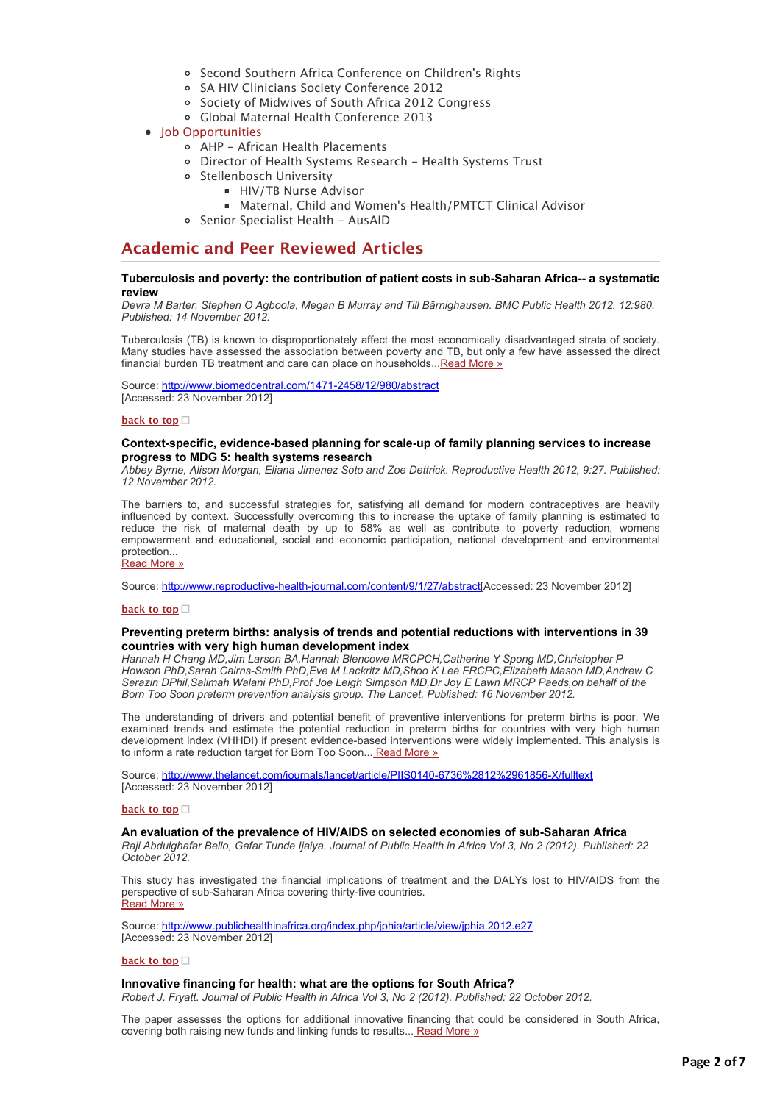- [Second Southern Africa Conference on Children's Rights](applewebdata://63EFA68A-C26C-4C38-9A1F-DC9554EA8104#C_2)
- o [SA HIV Clinicians Society Conference 2012](applewebdata://63EFA68A-C26C-4C38-9A1F-DC9554EA8104#C_3)
- o [Society of Midwives of South Africa 2012 Congress](applewebdata://63EFA68A-C26C-4C38-9A1F-DC9554EA8104#C_4)
- [Global Maternal Health Conference 2013](applewebdata://63EFA68A-C26C-4C38-9A1F-DC9554EA8104#C_5)
- [Job Opportunities](applewebdata://63EFA68A-C26C-4C38-9A1F-DC9554EA8104#jobs)
	- [AHP African Health Placements](applewebdata://63EFA68A-C26C-4C38-9A1F-DC9554EA8104#J_0)
	- [Director of Health Systems Research Health Systems Trust](applewebdata://63EFA68A-C26C-4C38-9A1F-DC9554EA8104#J_1)
	- Stellenbosch University
		- [HIV/TB Nurse Advisor](applewebdata://63EFA68A-C26C-4C38-9A1F-DC9554EA8104#J_2)
		- [Maternal, Child and Women's Health/PMTCT Clinical Advisor](applewebdata://63EFA68A-C26C-4C38-9A1F-DC9554EA8104#J_2)
	- [Senior Specialist Health AusAID](applewebdata://63EFA68A-C26C-4C38-9A1F-DC9554EA8104#J_4)

# **Academic and Peer Reviewed Articles**

## **Tuberculosis and poverty: the contribution of patient costs in sub-Saharan Africa-- a systematic review**

*Devra M Barter, Stephen O Agboola, Megan B Murray and Till Bärnighausen. BMC Public Health 2012, 12:980. Published: 14 November 2012.*

Tuberculosis (TB) is known to disproportionately affect the most economically disadvantaged strata of society. Many studies have assessed the association between poverty and TB, but only a few have assessed the direct financial burden TB treatment and care can place on households... [Read More »](http://bulletin.hst.org.za//lt.php?id=K09VDlxQXQUOSlBWCkUHC1NR)

Source: [http://www.biomedcentral.com/1471-2458/12/980/abstract](http://bulletin.hst.org.za//lt.php?id=K09VDlxQXQUOSlBWCkUHC1NR) [Accessed: 23 November 2012]

#### **[back to top](applewebdata://63EFA68A-C26C-4C38-9A1F-DC9554EA8104#top)**

# **Context-specific, evidence-based planning for scale-up of family planning services to increase progress to MDG 5: health systems research**

*Abbey Byrne, Alison Morgan, Eliana Jimenez Soto and Zoe Dettrick. Reproductive Health 2012, 9:27. Published: 12 November 2012.*

The barriers to, and successful strategies for, satisfying all demand for modern contraceptives are heavily influenced by context. Successfully overcoming this to increase the uptake of family planning is estimated to reduce the risk of maternal death by up to 58% as well as contribute to poverty reduction, womens empowerment and educational, social and economic participation, national development and environmental protection...

# [Read More »](http://bulletin.hst.org.za//lt.php?id=K09VDlxQXQIHSlBWCkUHC1NR)

Source: [http://www.reproductive-health-journal.com/content/9/1/27/abstract\[](http://bulletin.hst.org.za//lt.php?id=K09VDlxQXQIHSlBWCkUHC1NR)Accessed: 23 November 2012]

### **[back to top](applewebdata://63EFA68A-C26C-4C38-9A1F-DC9554EA8104#top)**

# **Preventing preterm births: analysis of trends and potential reductions with interventions in 39 countries with very high human development index**

*Hannah H Chang MD,Jim Larson BA,Hannah Blencowe MRCPCH,Catherine Y Spong MD,Christopher P Howson PhD,Sarah Cairns-Smith PhD,Eve M Lackritz MD,Shoo K Lee FRCPC,Elizabeth Mason MD,Andrew C Serazin DPhil,Salimah Walani PhD,Prof Joe Leigh Simpson MD,Dr Joy E Lawn MRCP Paeds,on behalf of the Born Too Soon preterm prevention analysis group. The Lancet. Published: 16 November 2012.*

The understanding of drivers and potential benefit of preventive interventions for preterm births is poor. We examined trends and estimate the potential reduction in preterm births for countries with very high human development index (VHHDI) if present evidence-based interventions were widely implemented. This analysis is to inform a rate reduction target for Born Too Soon... [Read More »](http://bulletin.hst.org.za//lt.php?id=K09VDlxQXQIGSlBWCkUHC1NR)

Source: [http://www.thelancet.com/journals/lancet/article/PIIS0140-6736%2812%2961856-X/fulltext](http://bulletin.hst.org.za//lt.php?id=K09VDlxQXQIGSlBWCkUHC1NR) [Accessed: 23 November 2012]

#### **[back to top](applewebdata://63EFA68A-C26C-4C38-9A1F-DC9554EA8104#top)**

### **An evaluation of the prevalence of HIV/AIDS on selected economies of sub-Saharan Africa**

*Raji Abdulghafar Bello, Gafar Tunde Ijaiya. Journal of Public Health in Africa Vol 3, No 2 (2012). Published: 22 October 2012.*

This study has investigated the financial implications of treatment and the DALYs lost to HIV/AIDS from the perspective of sub-Saharan Africa covering thirty-five countries. [Read More »](http://bulletin.hst.org.za//lt.php?id=K09VDlxQXQIFSlBWCkUHC1NR)

Source: [http://www.publichealthinafrica.org/index.php/jphia/article/view/jphia.2012.e27](http://bulletin.hst.org.za//lt.php?id=K09VDlxQXQIFSlBWCkUHC1NR) [Accessed: 23 November 2012]

#### **[back to top](applewebdata://63EFA68A-C26C-4C38-9A1F-DC9554EA8104#top)**

# **Innovative financing for health: what are the options for South Africa?**

*Robert J. Fryatt. Journal of Public Health in Africa Vol 3, No 2 (2012). Published: 22 October 2012.*

The paper assesses the options for additional innovative financing that could be considered in South Africa, covering both raising new funds and linking funds to results... [Read More »](http://bulletin.hst.org.za//lt.php?id=K09VDlxQXQIESlBWCkUHC1NR)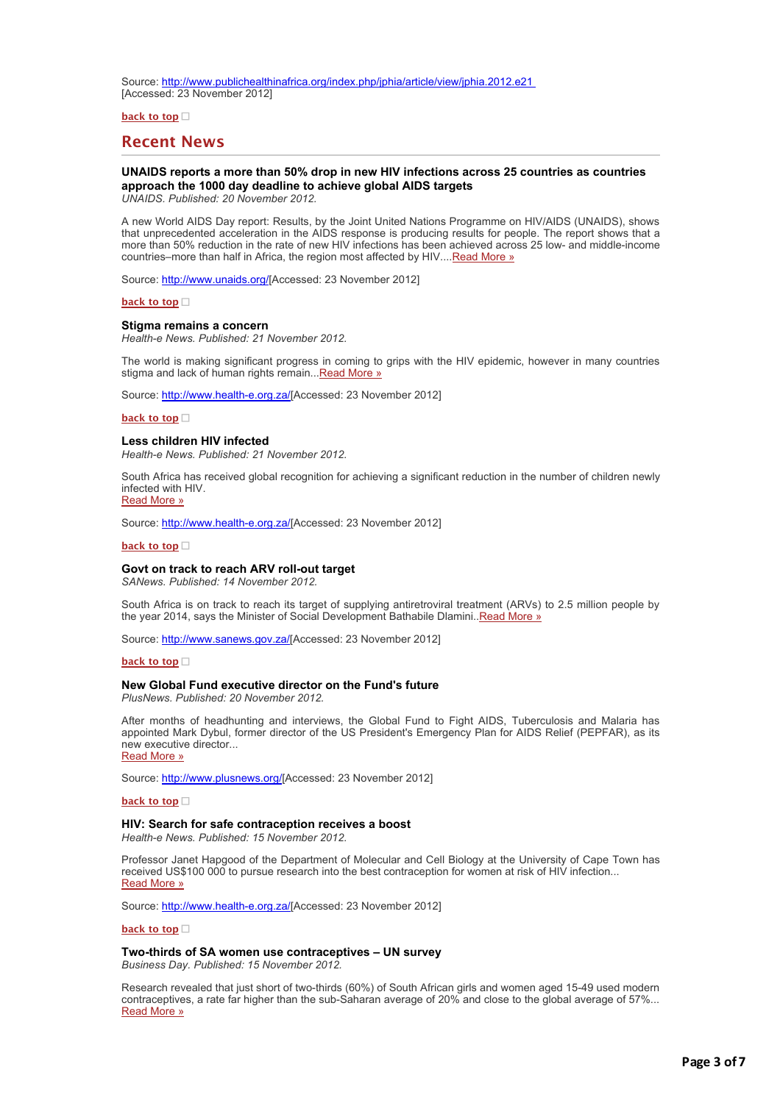Source: [http://www.publichealthinafrica.org/index.php/jphia/article/view/jphia.2012.e21](http://bulletin.hst.org.za//lt.php?id=K09VDlxQXQIESlBWCkUHC1NR)  [Accessed: 23 November 2012]

#### **[back to top](applewebdata://63EFA68A-C26C-4C38-9A1F-DC9554EA8104#top)**

# **Recent News**

# **UNAIDS reports a more than 50% drop in new HIV infections across 25 countries as countries approach the 1000 day deadline to achieve global AIDS targets**

*UNAIDS. Published: 20 November 2012.*

A new World AIDS Day report: Results, by the Joint United Nations Programme on HIV/AIDS (UNAIDS), shows that unprecedented acceleration in the AIDS response is producing results for people. The report shows that a more than 50% reduction in the rate of new HIV infections has been achieved across 25 low- and middle-income countries–more than half in Africa, the region most affected by HIV.... [Read More »](http://bulletin.hst.org.za//lt.php?id=K09VDlxQXQIDSlBWCkUHC1NR)

Source: [http://www.unaids.org/](http://bulletin.hst.org.za//lt.php?id=K09VDlxQXQICSlBWCkUHC1NR)[Accessed: 23 November 2012]

#### **[back to top](applewebdata://63EFA68A-C26C-4C38-9A1F-DC9554EA8104#top)**

#### **Stigma remains a concern**

*Health-e News. Published: 21 November 2012.*

The world is making significant progress in coming to grips with the HIV epidemic, however in many countries stigma and lack of human rights remain...[Read More »](http://bulletin.hst.org.za//lt.php?id=K09VDlxQXQIBSlBWCkUHC1NR)

Source: [http://www.health-e.org.za/\[](http://bulletin.hst.org.za//lt.php?id=K09VDlxQXQIASlBWCkUHC1NR)Accessed: 23 November 2012]

#### **[back to top](applewebdata://63EFA68A-C26C-4C38-9A1F-DC9554EA8104#top)**

# **Less children HIV infected**

*Health-e News. Published: 21 November 2012.*

South Africa has received global recognition for achieving a significant reduction in the number of children newly [infected with HIV.](http://bulletin.hst.org.za//lt.php?id=K09VDlxQXQIPSlBWCkUHC1NR) Read More »

Source: [http://www.health-e.org.za/\[](http://bulletin.hst.org.za//lt.php?id=K09VDlxQXQ8BSlBWCkUHC1NR)Accessed: 23 November 2012]

#### **[back to top](applewebdata://63EFA68A-C26C-4C38-9A1F-DC9554EA8104#top)**

#### **Govt on track to reach ARV roll-out target**

*SANews. Published: 14 November 2012.*

South Africa is on track to reach its target of supplying antiretroviral treatment (ARVs) to 2.5 million people by the year 2014, says the Minister of Social Development Bathabile Dlamini..*Read More* »

Source: [http://www.sanews.gov.za/\[](http://bulletin.hst.org.za//lt.php?id=K09VDlxQXQAPSlBWCkUHC1NR)Accessed: 23 November 2012]

#### **[back to top](applewebdata://63EFA68A-C26C-4C38-9A1F-DC9554EA8104#top)**

## **New Global Fund executive director on the Fund's future**

*PlusNews. Published: 20 November 2012.*

After months of headhunting and interviews, the Global Fund to Fight AIDS, Tuberculosis and Malaria has appointed Mark Dybul, former director of the US President's Emergency Plan for AIDS Relief (PEPFAR), as its [new executive director...](http://bulletin.hst.org.za//lt.php?id=K09VDlxQXQIOSlBWCkUHC1NR)

Read More »

Source: [http://www.plusnews.org/\[](http://bulletin.hst.org.za//lt.php?id=K09VDlxQXQMHSlBWCkUHC1NR)Accessed: 23 November 2012]

## **[back to top](applewebdata://63EFA68A-C26C-4C38-9A1F-DC9554EA8104#top)**

# **HIV: Search for safe contraception receives a boost**

*Health-e News. Published: 15 November 2012.*

Professor Janet Hapgood of the Department of Molecular and Cell Biology at the University of Cape Town has received US\$100 000 to pursue research into the best contraception for women at risk of HIV infection... [Read More »](http://bulletin.hst.org.za//lt.php?id=K09VDlxQXQMGSlBWCkUHC1NR)

Source: [http://www.health-e.org.za/\[](http://bulletin.hst.org.za//lt.php?id=K09VDlxQXQ8ASlBWCkUHC1NR)Accessed: 23 November 2012]

#### **[back to top](applewebdata://63EFA68A-C26C-4C38-9A1F-DC9554EA8104#top)**

**Two-thirds of SA women use contraceptives – UN survey**

*Business Day. Published: 15 November 2012.*

Research revealed that just short of two-thirds (60%) of South African girls and women aged 15-49 used modern contraceptives, a rate far higher than the sub-Saharan average of 20% and close to the global average of 57%... [Read More »](http://bulletin.hst.org.za//lt.php?id=K09VDlxQXQMFSlBWCkUHC1NR)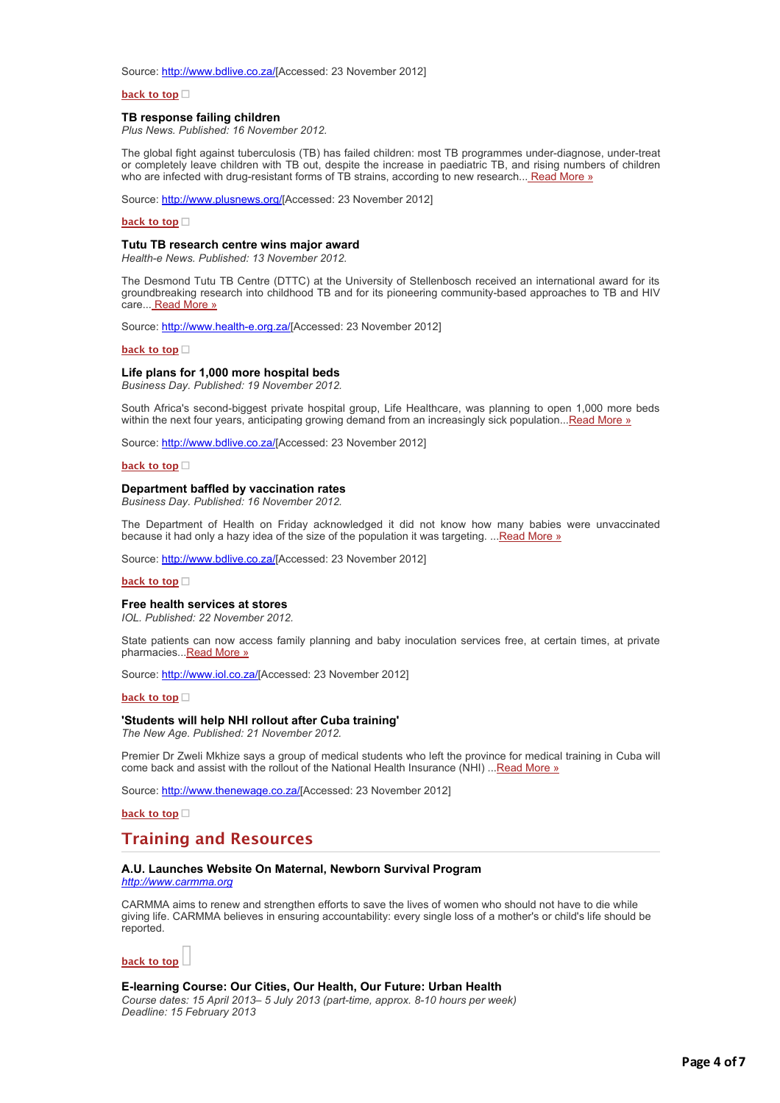Source: [http://www.bdlive.co.za/](http://bulletin.hst.org.za//lt.php?id=K09VDlxQXQMESlBWCkUHC1NR)[Accessed: 23 November 2012]

## **[back to top](applewebdata://63EFA68A-C26C-4C38-9A1F-DC9554EA8104#top)**

# **TB response failing children**

*Plus News. Published: 16 November 2012.*

The global fight against tuberculosis (TB) has failed children: most TB programmes under-diagnose, under-treat or completely leave children with TB out, despite the increase in paediatric TB, and rising numbers of children who are infected with drug-resistant forms of TB strains, according to new research... [Read More »](http://bulletin.hst.org.za//lt.php?id=K09VDlxQXQMDSlBWCkUHC1NR)

Source: [http://www.plusnews.org/\[](http://bulletin.hst.org.za//lt.php?id=K09VDlxQXQMCSlBWCkUHC1NR)Accessed: 23 November 2012]

#### **[back to top](applewebdata://63EFA68A-C26C-4C38-9A1F-DC9554EA8104#top)**

#### **Tutu TB research centre wins major award**

*Health-e News. Published: 13 November 2012.*

The Desmond Tutu TB Centre (DTTC) at the University of Stellenbosch received an international award for its groundbreaking research into childhood TB and for its pioneering community-based approaches to TB and HIV care... [Read More »](http://bulletin.hst.org.za//lt.php?id=K09VDlxQXQMPSlBWCkUHC1NR)

Source: [http://www.health-e.org.za/\[](http://bulletin.hst.org.za//lt.php?id=K09VDlxQXQ8PSlBWCkUHC1NR)Accessed: 23 November 2012]

#### **[back to top](applewebdata://63EFA68A-C26C-4C38-9A1F-DC9554EA8104#top)**

#### **Life plans for 1,000 more hospital beds**

*Business Day. Published: 19 November 2012.*

South Africa's second-biggest private hospital group, Life Healthcare, was planning to open 1,000 more beds within the next four years, anticipating growing demand from an increasingly sick population..[.Read More »](http://bulletin.hst.org.za//lt.php?id=K09VDlxQXQMOSlBWCkUHC1NR)

Source: [http://www.bdlive.co.za/](http://bulletin.hst.org.za//lt.php?id=K09VDlxQXQAHSlBWCkUHC1NR)[Accessed: 23 November 2012]

#### **[back to top](applewebdata://63EFA68A-C26C-4C38-9A1F-DC9554EA8104#top)**

#### **Department baffled by vaccination rates**

*Business Day. Published: 16 November 2012.*

The Department of Health on Friday acknowledged it did not know how many babies were unvaccinated because it had only a hazy idea of the size of the population it was targeting. ... [Read More »](http://bulletin.hst.org.za//lt.php?id=K09VDlxQXQAGSlBWCkUHC1NR)

Source: [http://www.bdlive.co.za/](http://bulletin.hst.org.za//lt.php?id=K09VDlxQXQAFSlBWCkUHC1NR)[Accessed: 23 November 2012]

#### **[back to top](applewebdata://63EFA68A-C26C-4C38-9A1F-DC9554EA8104#top)**

#### **Free health services at stores**

*IOL. Published: 22 November 2012.*

State patients can now access family planning and baby inoculation services free, at certain times, at private pharmacies... Read More »

Source: [http://www.iol.co.za/\[](http://bulletin.hst.org.za//lt.php?id=K09VDlxQXQADSlBWCkUHC1NR)Accessed: 23 November 2012]

**[back to top](applewebdata://63EFA68A-C26C-4C38-9A1F-DC9554EA8104#top)**

#### **'Students will help NHI rollout after Cuba training'**

*The New Age. Published: 21 November 2012.*

Premier Dr Zweli Mkhize says a group of medical students who left the province for medical training in Cuba will come back and assist with the rollout of the National Health Insurance (NHI) ..[.Read More »](http://bulletin.hst.org.za//lt.php?id=K09VDlxQXQACSlBWCkUHC1NR)

Source: [http://www.thenewage.co.za/\[](http://bulletin.hst.org.za//lt.php?id=K09VDlxQXQABSlBWCkUHC1NR)Accessed: 23 November 2012]

**[back to top](applewebdata://63EFA68A-C26C-4C38-9A1F-DC9554EA8104#top)**

# **Training and Resources**

# **A.U. Launches Website On Maternal, Newborn Survival Program**

*[http://www.carmma.org](http://bulletin.hst.org.za//lt.php?id=K09VDlxQXQAOSlBWCkUHC1NR)*

CARMMA aims to renew and strengthen efforts to save the lives of women who should not have to die while giving life. CARMMA believes in ensuring accountability: every single loss of a mother's or child's life should be reported.



### **E-learning Course: Our Cities, Our Health, Our Future: Urban Health**

*Course dates: 15 April 2013– 5 July 2013 (part-time, approx. 8-10 hours per week) Deadline: 15 February 2013*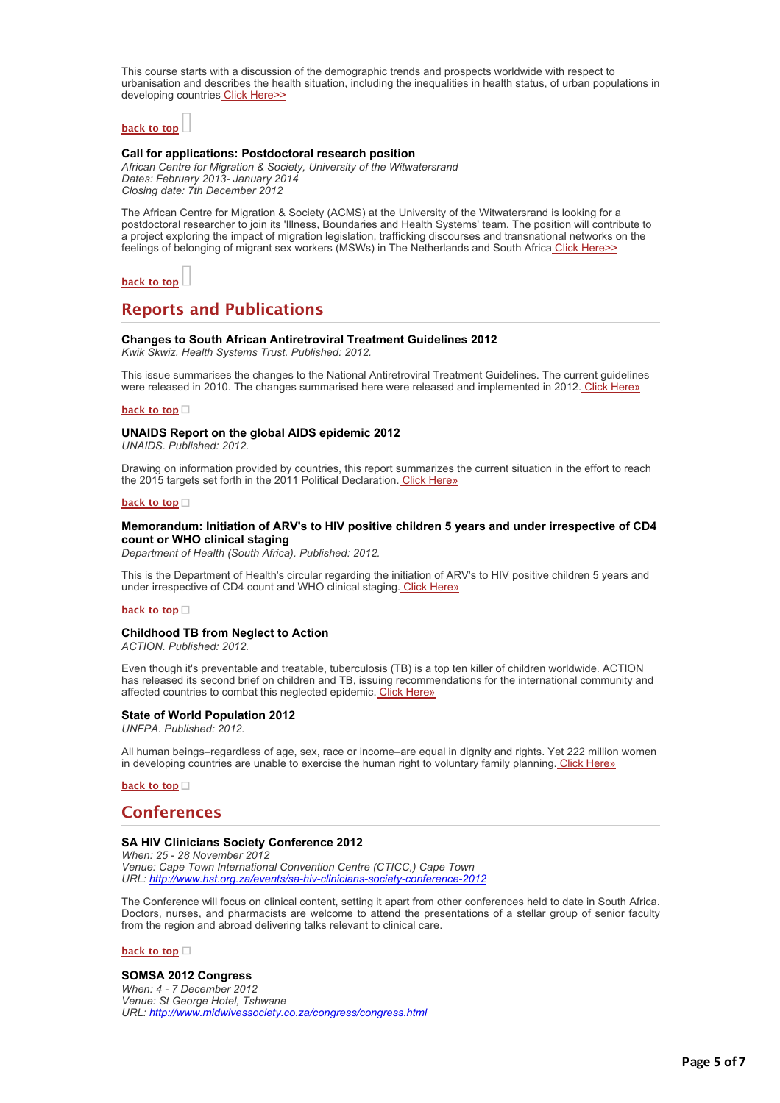This course starts with a discussion of the demographic trends and prospects worldwide with respect to urbanisation and describes the health situation, including the inequalities in health status, of urban populations in developing countries [Click Here>>](http://bulletin.hst.org.za//lt.php?id=K09VDlxQXQEHSlBWCkUHC1NR)

# **[back to top](applewebdata://63EFA68A-C26C-4C38-9A1F-DC9554EA8104#top)**

# **Call for applications: Postdoctoral research position**

*African Centre for Migration & Society, University of the Witwatersrand Dates: February 2013- January 2014 Closing date: 7th December 2012*

The African Centre for Migration & Society (ACMS) at the University of the Witwatersrand is looking for a postdoctoral researcher to join its 'Illness, Boundaries and Health Systems' team. The position will contribute to a project exploring the impact of migration legislation, trafficking discourses and transnational networks on the feelings of belonging of migrant sex workers (MSWs) in The Netherlands and South Africa [Click Here>>](http://bulletin.hst.org.za//lt.php?id=K09VDlxQXQEGSlBWCkUHC1NR)

**[back to top](applewebdata://63EFA68A-C26C-4C38-9A1F-DC9554EA8104#top)**

# **Reports and Publications**

### **Changes to South African Antiretroviral Treatment Guidelines 2012**

*Kwik Skwiz. Health Systems Trust. Published: 2012.*

This issue summarises the changes to the National Antiretroviral Treatment Guidelines. The current guidelines were released in 2010. The changes summarised here were released and implemented in 2012. [Click Here»](http://bulletin.hst.org.za//lt.php?id=K09VDlxQXQEESlBWCkUHC1NR)

### **[back to top](applewebdata://63EFA68A-C26C-4C38-9A1F-DC9554EA8104#top)**

# **UNAIDS Report on the global AIDS epidemic 2012**

*UNAIDS. Published: 2012.*

Drawing on information provided by countries, this report summarizes the current situation in the effort to reach the 2015 targets set forth in the 2011 Political Declaration. [Click Here»](http://bulletin.hst.org.za//lt.php?id=K09VDlxQXQEFSlBWCkUHC1NR)

# **[back to top](applewebdata://63EFA68A-C26C-4C38-9A1F-DC9554EA8104#top)**

# **Memorandum: Initiation of ARV's to HIV positive children 5 years and under irrespective of CD4 count or WHO clinical staging**

*Department of Health (South Africa). Published: 2012.*

This is the Department of Health's circular regarding the initiation of ARV's to HIV positive children 5 years and under irrespective of CD4 count and WHO clinical staging. [Click Here»](http://bulletin.hst.org.za//lt.php?id=K09VDlxQXQEDSlBWCkUHC1NR)

### **[back to top](applewebdata://63EFA68A-C26C-4C38-9A1F-DC9554EA8104#top)**

# **Childhood TB from Neglect to Action**

*ACTION. Published: 2012.*

Even though it's preventable and treatable, tuberculosis (TB) is a top ten killer of children worldwide. ACTION has released its second brief on children and TB, issuing recommendations for the international community and affected countries to combat this neglected epidemic. [Click Here»](http://bulletin.hst.org.za//lt.php?id=K09VDlxQXQECSlBWCkUHC1NR)

# **State of World Population 2012**

*UNFPA. Published: 2012.*

All human beings–regardless of age, sex, race or income–are equal in dignity and rights. Yet 222 million women in developing countries are unable to exercise the human right to voluntary family planning. [Click Here»](http://bulletin.hst.org.za//lt.php?id=K09VDlxQXQ8OSlBWCkUHC1NR)

**[back to top](applewebdata://63EFA68A-C26C-4C38-9A1F-DC9554EA8104#top)**

# **Conferences**

# **SA HIV Clinicians Society Conference 2012**

*When: 25 - 28 November 2012 Venue: Cape Town International Convention Centre (CTICC,) Cape Town URL: [http://www.hst.org.za/events/sa-hiv-clinicians-society-conference-2012](http://bulletin.hst.org.za//lt.php?id=K09VDlxQXQEBSlBWCkUHC1NR)*

The Conference will focus on clinical content, setting it apart from other conferences held to date in South Africa. Doctors, nurses, and pharmacists are welcome to attend the presentations of a stellar group of senior faculty from the region and abroad delivering talks relevant to clinical care.

**[back to top](applewebdata://63EFA68A-C26C-4C38-9A1F-DC9554EA8104#top)**

# **SOMSA 2012 Congress**

*When: 4 - 7 December 2012 Venue: St George Hotel, Tshwane URL: [http://www.midwivessociety.co.za/congress/congress.html](http://bulletin.hst.org.za//lt.php?id=K09VDlxQXQEASlBWCkUHC1NR)*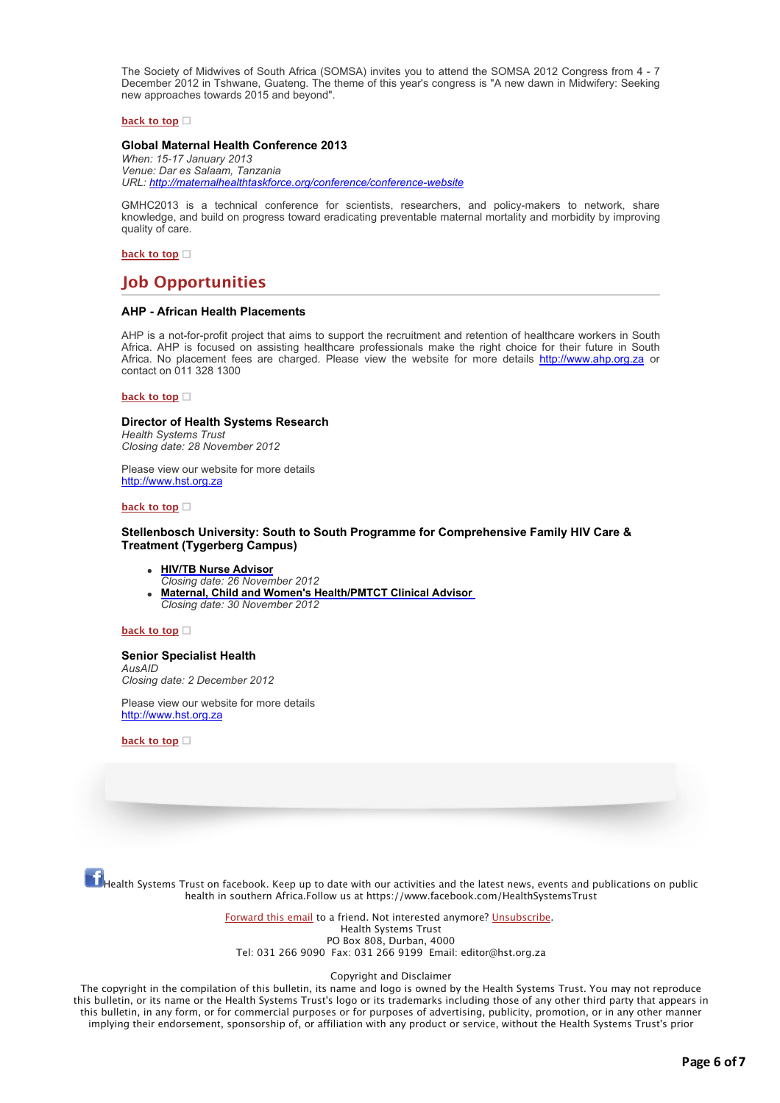The Society of Midwives of South Africa (SOMSA) invites you to attend the SOMSA 2012 Congress from 4 - 7 December 2012 in Tshwane, Guateng. The theme of this year's congress is "A new dawn in Midwifery: Seeking new approaches towards 2015 and beyond".

#### **[back to top](applewebdata://63EFA68A-C26C-4C38-9A1F-DC9554EA8104#top)**

# **Global Maternal Health Conference 2013**

*When: 15-17 January 2013 Venue: Dar es Salaam, Tanzania URL: [http://maternalhealthtaskforce.org/conference/conference-website](http://bulletin.hst.org.za//lt.php?id=K09VDlxQXQEPSlBWCkUHC1NR)*

GMHC2013 is a technical conference for scientists, researchers, and policy-makers to network, share knowledge, and build on progress toward eradicating preventable maternal mortality and morbidity by improving quality of care.

# **[back to top](applewebdata://63EFA68A-C26C-4C38-9A1F-DC9554EA8104#top)**

# **Job Opportunities**

# **AHP - African Health Placements**

AHP is a not-for-profit project that aims to support the recruitment and retention of healthcare workers in South Africa. AHP is focused on assisting healthcare professionals make the right choice for their future in South Africa. No placement fees are charged. Please view the website for more details [http://www.ahp.org.za](http://bulletin.hst.org.za//lt.php?id=K09VDlxQXQEOSlBWCkUHC1NR) or contact on 011 328 1300

#### **[back to top](applewebdata://63EFA68A-C26C-4C38-9A1F-DC9554EA8104#top)**

# **Director of Health Systems Research**

*Health Systems Trust Closing date: 28 November 2012*

Please view our website for more details [http://www.hst.org.za](http://bulletin.hst.org.za//lt.php?id=K09VDlxQXQ4HSlBWCkUHC1NR)

### **[back to top](applewebdata://63EFA68A-C26C-4C38-9A1F-DC9554EA8104#top)**

# **Stellenbosch University: South to South Programme for Comprehensive Family HIV Care & Treatment (Tygerberg Campus)**

#### **[HIV/TB Nurse Advisor](http://bulletin.hst.org.za//lt.php?id=K09VDlxQXQ4GSlBWCkUHC1NR)**

*Closing date: 26 November 2012*

**[Maternal, Child and Women's Health/PMTCT Clinical Advisor](http://bulletin.hst.org.za//lt.php?id=K09VDlxQXQ4FSlBWCkUHC1NR)**  *Closing date: 30 November 2012*

#### **[back to top](applewebdata://63EFA68A-C26C-4C38-9A1F-DC9554EA8104#top)**

# **Senior Specialist Health**

*AusAID Closing date: 2 December 2012*

Please view our website for more details [http://www.hst.org.za](http://bulletin.hst.org.za//lt.php?id=K09VDlxQXAYHSlBWCkUHC1NR)

**[back to top](applewebdata://63EFA68A-C26C-4C38-9A1F-DC9554EA8104#top)**

 $f_{\rm{Health Systems\,Trust\,on\,facebook.~Keep\,up\,to\,date\,with\,our\,activities\,and\,the\,lates\,news,\,events\,and\,publications\,on\,public}$ health in southern Africa.Follow us at https://www.facebook.com/HealthSystemsTrust

> [Forward this email](http://bulletin.hst.org.za//lt.php?id=K09VDlxQXAYGSlBWCkUHC1NR) to a friend. Not interested anymore? [Unsubscribe](http://bulletin.hst.org.za//lt.php?id=K09VDlxQXQ4DSlBWCkUHC1NR). Health Systems Trust PO Box 808, Durban, 4000 Tel: 031 266 9090 Fax: 031 266 9199 Email: editor@hst.org.za

#### Copyright and Disclaimer

The copyright in the compilation of this bulletin, its name and logo is owned by the Health Systems Trust. You may not reproduce this bulletin, or its name or the Health Systems Trust's logo or its trademarks including those of any other third party that appears in this bulletin, in any form, or for commercial purposes or for purposes of advertising, publicity, promotion, or in any other manner implying their endorsement, sponsorship of, or affiliation with any product or service, without the Health Systems Trust's prior